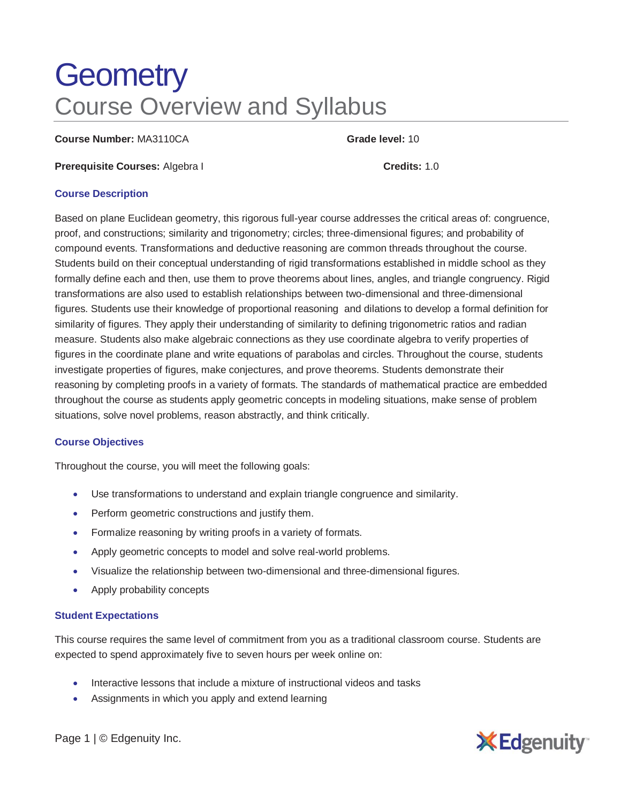# **Geometry** Course Overview and Syllabus

**Course Number:** MA3110CA **Grade level:** 10

**Prerequisite Courses:** Algebra I **Credits:** 1.0

### **Course Description**

Based on plane Euclidean geometry, this rigorous full-year course addresses the critical areas of: congruence, proof, and constructions; similarity and trigonometry; circles; three-dimensional figures; and probability of compound events. Transformations and deductive reasoning are common threads throughout the course. Students build on their conceptual understanding of rigid transformations established in middle school as they formally define each and then, use them to prove theorems about lines, angles, and triangle congruency. Rigid transformations are also used to establish relationships between two-dimensional and three-dimensional figures. Students use their knowledge of proportional reasoning and dilations to develop a formal definition for similarity of figures. They apply their understanding of similarity to defining trigonometric ratios and radian measure. Students also make algebraic connections as they use coordinate algebra to verify properties of figures in the coordinate plane and write equations of parabolas and circles. Throughout the course, students investigate properties of figures, make conjectures, and prove theorems. Students demonstrate their reasoning by completing proofs in a variety of formats. The standards of mathematical practice are embedded throughout the course as students apply geometric concepts in modeling situations, make sense of problem situations, solve novel problems, reason abstractly, and think critically.

# **Course Objectives**

Throughout the course, you will meet the following goals:

- Use transformations to understand and explain triangle congruence and similarity.
- Perform geometric constructions and justify them.
- Formalize reasoning by writing proofs in a variety of formats.
- Apply geometric concepts to model and solve real-world problems.
- Visualize the relationship between two-dimensional and three-dimensional figures.
- Apply probability concepts

#### **Student Expectations**

This course requires the same level of commitment from you as a traditional classroom course. Students are expected to spend approximately five to seven hours per week online on:

- Interactive lessons that include a mixture of instructional videos and tasks
- Assignments in which you apply and extend learning



Page 1 | © Edgenuity Inc.